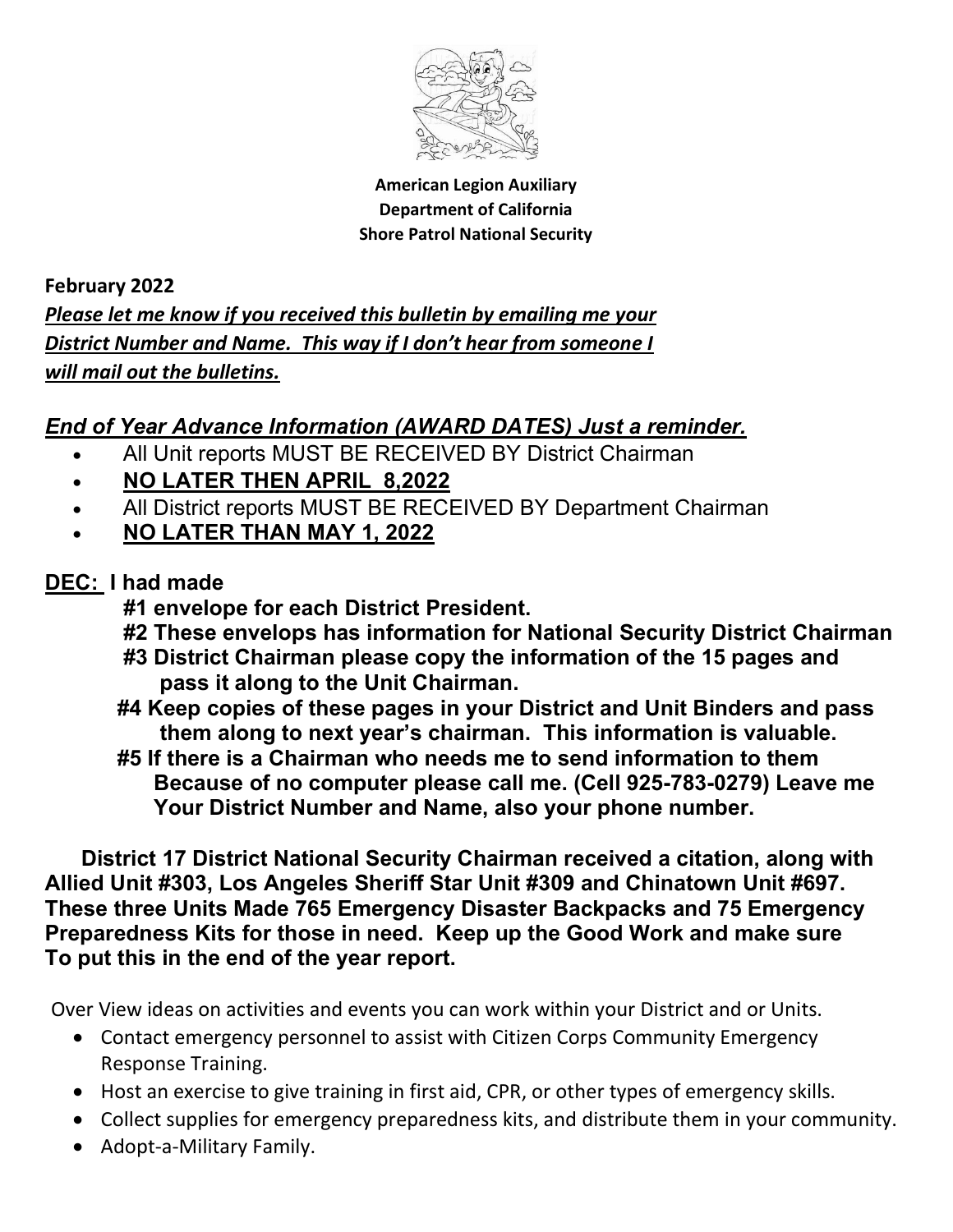

American Legion Auxiliary Department of California Shore Patrol National Security

February 2022 Please let me know if you received this bulletin by emailing me your District Number and Name. This way if I don't hear from someone I will mail out the bulletins.

## End of Year Advance Information (AWARD DATES) Just a reminder.

- All Unit reports MUST BE RECEIVED BY District Chairman
- NO LATER THEN APRIL 8,2022
- All District reports MUST BE RECEIVED BY Department Chairman
- NO LATER THAN MAY 1, 2022

## DEC: I had made

- #1 envelope for each District President.
- #2 These envelops has information for National Security District Chairman
- #3 District Chairman please copy the information of the 15 pages and pass it along to the Unit Chairman.
- #4 Keep copies of these pages in your District and Unit Binders and pass them along to next year's chairman. This information is valuable.
- #5 If there is a Chairman who needs me to send information to them Because of no computer please call me. (Cell 925-783-0279) Leave me Your District Number and Name, also your phone number.

 District 17 District National Security Chairman received a citation, along with Allied Unit #303, Los Angeles Sheriff Star Unit #309 and Chinatown Unit #697. These three Units Made 765 Emergency Disaster Backpacks and 75 Emergency Preparedness Kits for those in need. Keep up the Good Work and make sure To put this in the end of the year report.

Over View ideas on activities and events you can work within your District and or Units.

- Contact emergency personnel to assist with Citizen Corps Community Emergency Response Training.
- Host an exercise to give training in first aid, CPR, or other types of emergency skills.
- Collect supplies for emergency preparedness kits, and distribute them in your community.
- Adopt-a-Military Family.